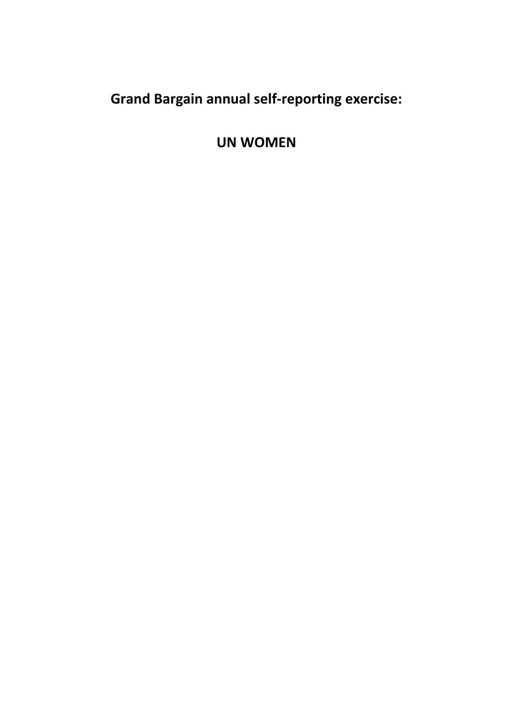**Grand Bargain annual self-reporting exercise:** 

**UN WOMEN**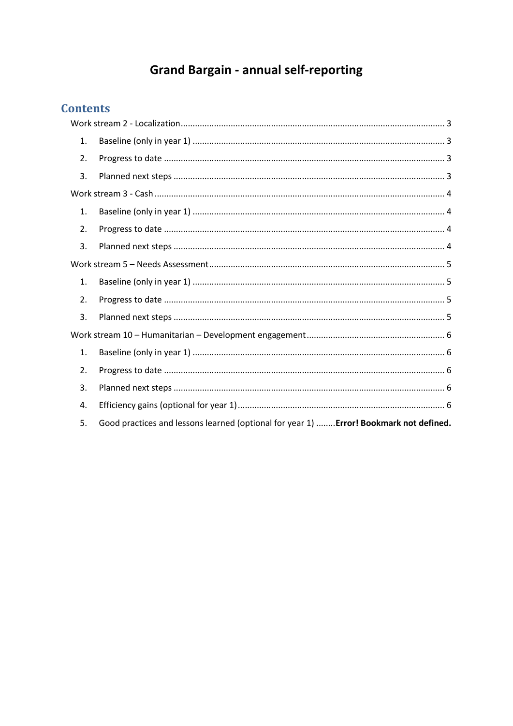# **Grand Bargain - annual self-reporting**

## **Contents**

| 1.             |                                                                                        |  |
|----------------|----------------------------------------------------------------------------------------|--|
| 2.             |                                                                                        |  |
| 3.             |                                                                                        |  |
|                |                                                                                        |  |
| $\mathbf{1}$ . |                                                                                        |  |
| 2.             |                                                                                        |  |
| 3.             |                                                                                        |  |
|                |                                                                                        |  |
| 1.             |                                                                                        |  |
| 2.             |                                                                                        |  |
| 3.             |                                                                                        |  |
|                |                                                                                        |  |
| 1.             |                                                                                        |  |
| 2.             |                                                                                        |  |
| 3.             |                                                                                        |  |
| 4.             |                                                                                        |  |
| 5.             | Good practices and lessons learned (optional for year 1)  Error! Bookmark not defined. |  |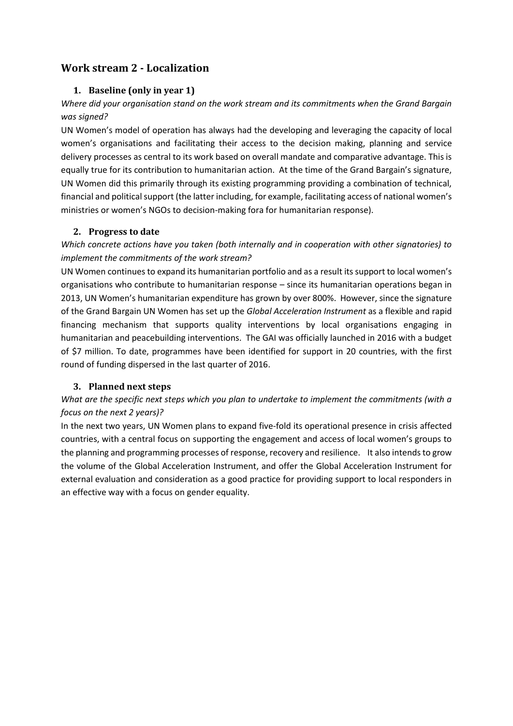## <span id="page-2-1"></span><span id="page-2-0"></span>**Work stream 2 - Localization**

#### **1. Baseline (only in year 1)**

## *Where did your organisation stand on the work stream and its commitments when the Grand Bargain was signed?*

UN Women's model of operation has always had the developing and leveraging the capacity of local women's organisations and facilitating their access to the decision making, planning and service delivery processes as central to its work based on overall mandate and comparative advantage. This is equally true for its contribution to humanitarian action. At the time of the Grand Bargain's signature, UN Women did this primarily through its existing programming providing a combination of technical, financial and political support (the latter including, for example, facilitating access of national women's ministries or women's NGOs to decision-making fora for humanitarian response).

#### <span id="page-2-2"></span>**2. Progress to date**

## *Which concrete actions have you taken (both internally and in cooperation with other signatories) to implement the commitments of the work stream?*

UN Women continues to expand its humanitarian portfolio and as a result its support to local women's organisations who contribute to humanitarian response – since its humanitarian operations began in 2013, UN Women's humanitarian expenditure has grown by over 800%. However, since the signature of the Grand Bargain UN Women has set up the *Global Acceleration Instrument* as a flexible and rapid financing mechanism that supports quality interventions by local organisations engaging in humanitarian and peacebuilding interventions. The GAI was officially launched in 2016 with a budget of \$7 million. To date, programmes have been identified for support in 20 countries, with the first round of funding dispersed in the last quarter of 2016.

#### <span id="page-2-3"></span>**3. Planned next steps**

## *What are the specific next steps which you plan to undertake to implement the commitments (with a focus on the next 2 years)?*

In the next two years, UN Women plans to expand five-fold its operational presence in crisis affected countries, with a central focus on supporting the engagement and access of local women's groups to the planning and programming processes of response, recovery and resilience. It also intends to grow the volume of the Global Acceleration Instrument, and offer the Global Acceleration Instrument for external evaluation and consideration as a good practice for providing support to local responders in an effective way with a focus on gender equality.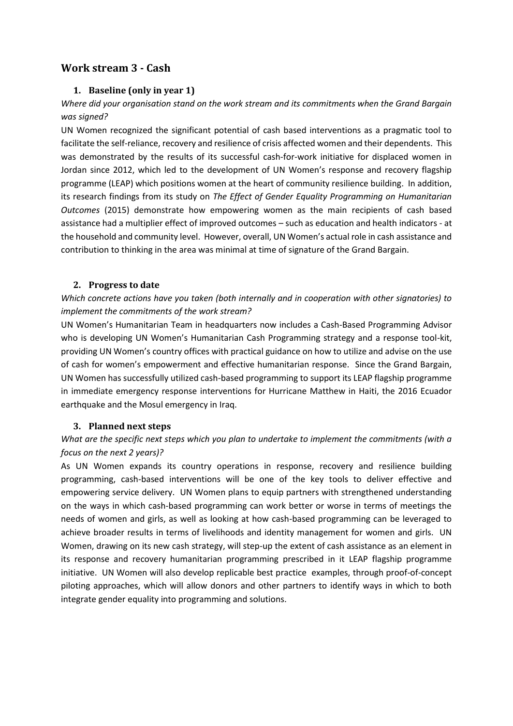## <span id="page-3-1"></span><span id="page-3-0"></span>**Work stream 3 - Cash**

#### **1. Baseline (only in year 1)**

## *Where did your organisation stand on the work stream and its commitments when the Grand Bargain was signed?*

UN Women recognized the significant potential of cash based interventions as a pragmatic tool to facilitate the self-reliance, recovery and resilience of crisis affected women and their dependents. This was demonstrated by the results of its successful cash-for-work initiative for displaced women in Jordan since 2012, which led to the development of UN Women's response and recovery flagship programme (LEAP) which positions women at the heart of community resilience building. In addition, its research findings from its study on *The Effect of Gender Equality Programming on Humanitarian Outcomes* (2015) demonstrate how empowering women as the main recipients of cash based assistance had a multiplier effect of improved outcomes – such as education and health indicators - at the household and community level. However, overall, UN Women's actual role in cash assistance and contribution to thinking in the area was minimal at time of signature of the Grand Bargain.

#### <span id="page-3-2"></span>**2. Progress to date**

## *Which concrete actions have you taken (both internally and in cooperation with other signatories) to implement the commitments of the work stream?*

UN Women's Humanitarian Team in headquarters now includes a Cash-Based Programming Advisor who is developing UN Women's Humanitarian Cash Programming strategy and a response tool-kit, providing UN Women's country offices with practical guidance on how to utilize and advise on the use of cash for women's empowerment and effective humanitarian response. Since the Grand Bargain, UN Women has successfully utilized cash-based programming to support its LEAP flagship programme in immediate emergency response interventions for Hurricane Matthew in Haiti, the 2016 Ecuador earthquake and the Mosul emergency in Iraq.

#### <span id="page-3-3"></span>**3. Planned next steps**

## *What are the specific next steps which you plan to undertake to implement the commitments (with a focus on the next 2 years)?*

As UN Women expands its country operations in response, recovery and resilience building programming, cash-based interventions will be one of the key tools to deliver effective and empowering service delivery. UN Women plans to equip partners with strengthened understanding on the ways in which cash-based programming can work better or worse in terms of meetings the needs of women and girls, as well as looking at how cash-based programming can be leveraged to achieve broader results in terms of livelihoods and identity management for women and girls. UN Women, drawing on its new cash strategy, will step-up the extent of cash assistance as an element in its response and recovery humanitarian programming prescribed in it LEAP flagship programme initiative. UN Women will also develop replicable best practice examples, through proof-of-concept piloting approaches, which will allow donors and other partners to identify ways in which to both integrate gender equality into programming and solutions.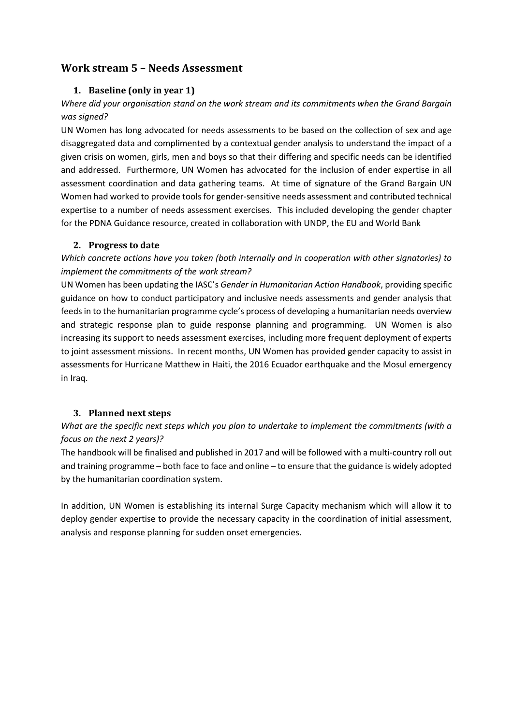## <span id="page-4-1"></span><span id="page-4-0"></span>**Work stream 5 – Needs Assessment**

#### **1. Baseline (only in year 1)**

## *Where did your organisation stand on the work stream and its commitments when the Grand Bargain was signed?*

UN Women has long advocated for needs assessments to be based on the collection of sex and age disaggregated data and complimented by a contextual gender analysis to understand the impact of a given crisis on women, girls, men and boys so that their differing and specific needs can be identified and addressed. Furthermore, UN Women has advocated for the inclusion of ender expertise in all assessment coordination and data gathering teams. At time of signature of the Grand Bargain UN Women had worked to provide tools for gender-sensitive needs assessment and contributed technical expertise to a number of needs assessment exercises. This included developing the gender chapter for the PDNA Guidance resource, created in collaboration with UNDP, the EU and World Bank

#### <span id="page-4-2"></span>**2. Progress to date**

*Which concrete actions have you taken (both internally and in cooperation with other signatories) to implement the commitments of the work stream?* 

UN Women has been updating the IASC's *Gender in Humanitarian Action Handbook*, providing specific guidance on how to conduct participatory and inclusive needs assessments and gender analysis that feeds in to the humanitarian programme cycle's process of developing a humanitarian needs overview and strategic response plan to guide response planning and programming. UN Women is also increasing its support to needs assessment exercises, including more frequent deployment of experts to joint assessment missions. In recent months, UN Women has provided gender capacity to assist in assessments for Hurricane Matthew in Haiti, the 2016 Ecuador earthquake and the Mosul emergency in Iraq.

#### <span id="page-4-3"></span>**3. Planned next steps**

## *What are the specific next steps which you plan to undertake to implement the commitments (with a focus on the next 2 years)?*

The handbook will be finalised and published in 2017 and will be followed with a multi-country roll out and training programme – both face to face and online – to ensure that the guidance is widely adopted by the humanitarian coordination system.

In addition, UN Women is establishing its internal Surge Capacity mechanism which will allow it to deploy gender expertise to provide the necessary capacity in the coordination of initial assessment, analysis and response planning for sudden onset emergencies.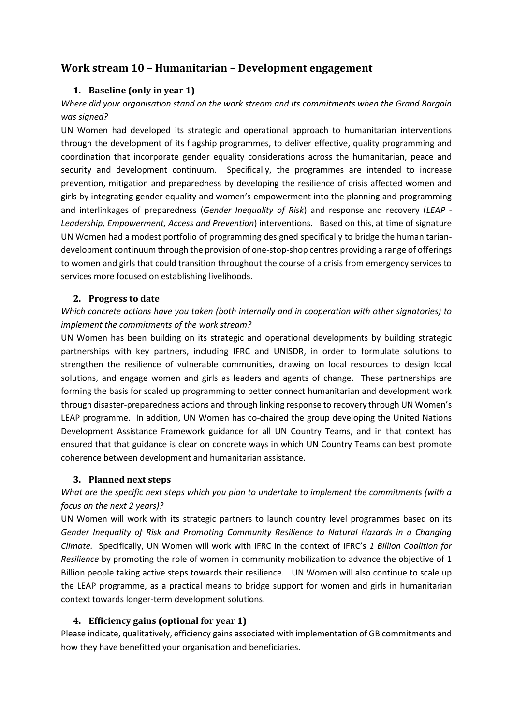## <span id="page-5-1"></span><span id="page-5-0"></span>**Work stream 10 – Humanitarian – Development engagement**

#### **1. Baseline (only in year 1)**

### *Where did your organisation stand on the work stream and its commitments when the Grand Bargain was signed?*

UN Women had developed its strategic and operational approach to humanitarian interventions through the development of its flagship programmes, to deliver effective, quality programming and coordination that incorporate gender equality considerations across the humanitarian, peace and security and development continuum. Specifically, the programmes are intended to increase prevention, mitigation and preparedness by developing the resilience of crisis affected women and girls by integrating gender equality and women's empowerment into the planning and programming and interlinkages of preparedness (*Gender Inequality of Risk*) and response and recovery (*LEAP - Leadership, Empowerment, Access and Prevention*) interventions. Based on this, at time of signature UN Women had a modest portfolio of programming designed specifically to bridge the humanitariandevelopment continuum through the provision of one-stop-shop centres providing a range of offerings to women and girls that could transition throughout the course of a crisis from emergency services to services more focused on establishing livelihoods.

#### <span id="page-5-2"></span>**2. Progress to date**

## *Which concrete actions have you taken (both internally and in cooperation with other signatories) to implement the commitments of the work stream?*

UN Women has been building on its strategic and operational developments by building strategic partnerships with key partners, including IFRC and UNISDR, in order to formulate solutions to strengthen the resilience of vulnerable communities, drawing on local resources to design local solutions, and engage women and girls as leaders and agents of change. These partnerships are forming the basis for scaled up programming to better connect humanitarian and development work through disaster-preparedness actions and through linking response to recovery through UN Women's LEAP programme. In addition, UN Women has co-chaired the group developing the United Nations Development Assistance Framework guidance for all UN Country Teams, and in that context has ensured that that guidance is clear on concrete ways in which UN Country Teams can best promote coherence between development and humanitarian assistance.

#### <span id="page-5-3"></span>**3. Planned next steps**

#### *What are the specific next steps which you plan to undertake to implement the commitments (with a focus on the next 2 years)?*

UN Women will work with its strategic partners to launch country level programmes based on its *Gender Inequality of Risk and Promoting Community Resilience to Natural Hazards in a Changing Climate.* Specifically, UN Women will work with IFRC in the context of IFRC's *1 Billion Coalition for Resilience* by promoting the role of women in community mobilization to advance the objective of 1 Billion people taking active steps towards their resilience. UN Women will also continue to scale up the LEAP programme, as a practical means to bridge support for women and girls in humanitarian context towards longer-term development solutions.

#### <span id="page-5-4"></span>**4. Efficiency gains (optional for year 1)**

Please indicate, qualitatively, efficiency gains associated with implementation of GB commitments and how they have benefitted your organisation and beneficiaries.